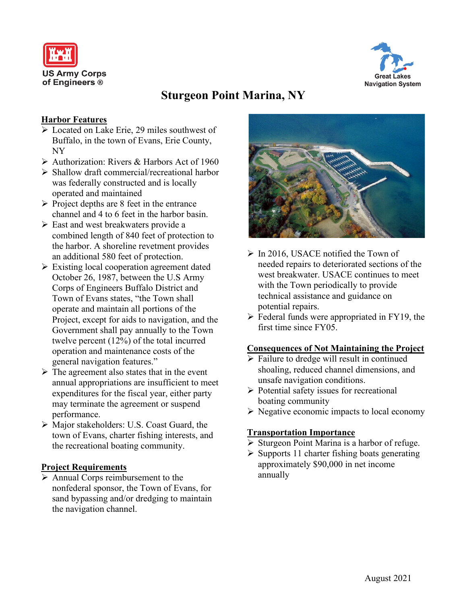



# **Sturgeon Point Marina, NY**

## **Harbor Features**

- **Exercise 29 miles southwest of** Buffalo, in the town of Evans, Erie County, NY
- Authorization: Rivers & Harbors Act of 1960
- $\triangleright$  Shallow draft commercial/recreational harbor was federally constructed and is locally operated and maintained
- $\triangleright$  Project depths are 8 feet in the entrance channel and 4 to 6 feet in the harbor basin.
- $\triangleright$  East and west breakwaters provide a combined length of 840 feet of protection to the harbor. A shoreline revetment provides an additional 580 feet of protection.
- $\triangleright$  Existing local cooperation agreement dated October 26, 1987, between the U.S Army Corps of Engineers Buffalo District and Town of Evans states, "the Town shall operate and maintain all portions of the Project, except for aids to navigation, and the Government shall pay annually to the Town twelve percent (12%) of the total incurred operation and maintenance costs of the general navigation features."
- $\triangleright$  The agreement also states that in the event annual appropriations are insufficient to meet expenditures for the fiscal year, either party may terminate the agreement or suspend performance.
- Major stakeholders: U.S. Coast Guard, the town of Evans, charter fishing interests, and the recreational boating community.

## **Project Requirements**

 $\triangleright$  Annual Corps reimbursement to the nonfederal sponsor, the Town of Evans, for sand bypassing and/or dredging to maintain the navigation channel.



- $\triangleright$  In 2016, USACE notified the Town of needed repairs to deteriorated sections of the west breakwater. USACE continues to meet with the Town periodically to provide technical assistance and guidance on potential repairs.
- $\triangleright$  Federal funds were appropriated in FY19, the first time since FY05.

#### **Consequences of Not Maintaining the Project**

- $\triangleright$  Failure to dredge will result in continued shoaling, reduced channel dimensions, and unsafe navigation conditions.
- $\triangleright$  Potential safety issues for recreational boating community
- $\triangleright$  Negative economic impacts to local economy

#### **Transportation Importance**

- $\triangleright$  Sturgeon Point Marina is a harbor of refuge.
- $\triangleright$  Supports 11 charter fishing boats generating approximately \$90,000 in net income annually